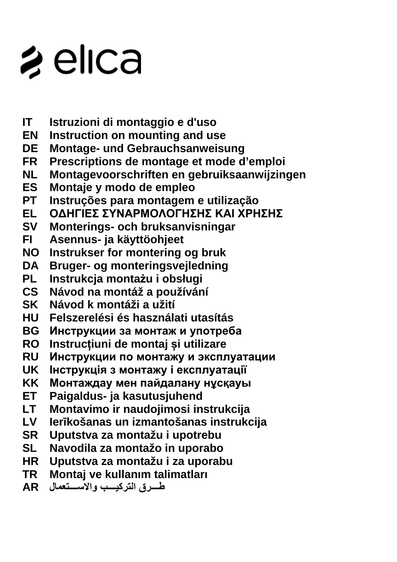# $\boldsymbol{z}$  elica

- **IT Istruzioni di montaggio e d'uso**
- **EN Instruction on mounting and use**
- **DE Montage- und Gebrauchsanweisung**
- **FR Prescriptions de montage et mode d'emploi**
- **NL Montagevoorschriften en gebruiksaanwijzingen**
- **Montaje y modo de empleo**
- **PT Instruções para montagem e utilização**
- **EL Ο∆ΗΓΙΕΣ ΣΥΝΑΡΜΟΛΟΓΗΣΗΣ ΚΑΙ ΧΡΗΣΗΣ**
- **Monterings- och bruksanvisningar**
- **FI Asennus- ja käyttöohjeet**
- **NO Instrukser for montering og bruk**
- **Bruger- og monteringsveiledning**
- **PL Instrukcja montażu i obsługi**
- **CS Návod na montáž a používání**
- **SK Návod k montáži a užití**
- **HU Felszerelési és használati utasítás**
- **BG Инструкции за монтаж и употреба**
- **RO Instrucțiuni de montaj și utilizare**
- **RU Инструкции по монтажу и эксплуатации**
- **UK Інструкція з монтажу і експлуатації**
- **KK Монтаждау мен пайдалану нұсқауы**
- **ET Paigaldus- ja kasutusjuhend**
- **LT Montavimo ir naudojimosi instrukcija**
- **LV Ierīkošanas un izmantošanas instrukcija**
- **SR Uputstva za montažu i upotrebu**
- **SL Navodila za montažo in uporabo**
- **HR Uputstva za montažu i za uporabu**
- **TR Montaj ve kullanım talimatları**
- **طѧѧѧѧѧѧرق التركيѧѧѧѧѧѧب واالسѧѧѧѧѧѧتعمال AR**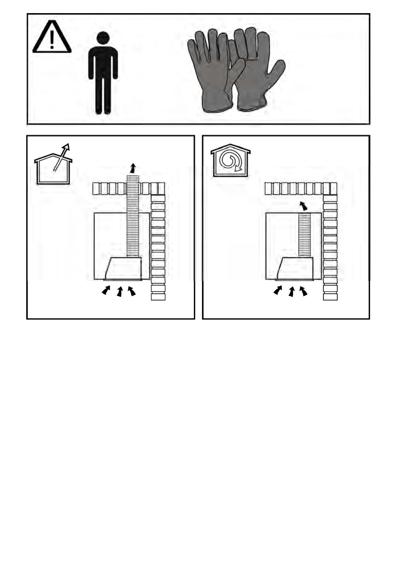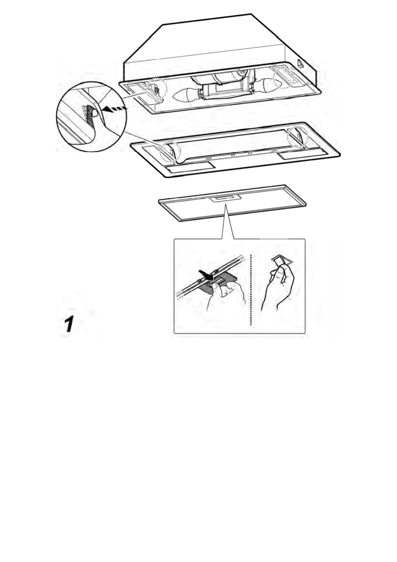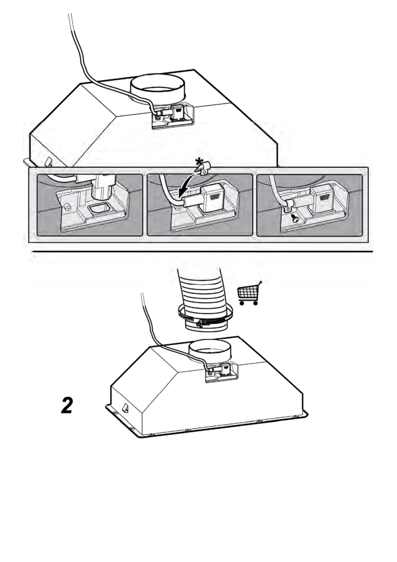

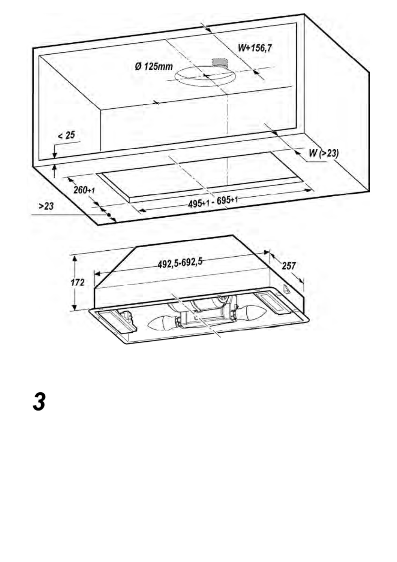

 $\boldsymbol{3}$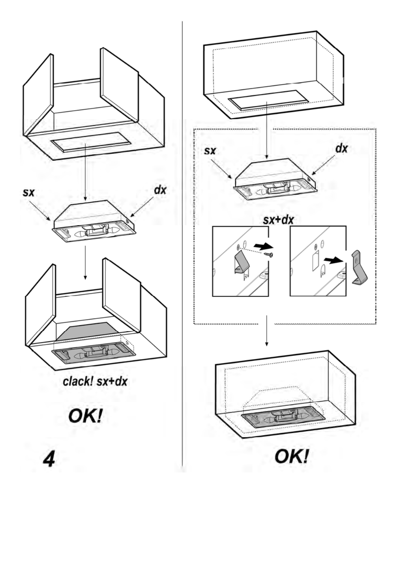







OK!

4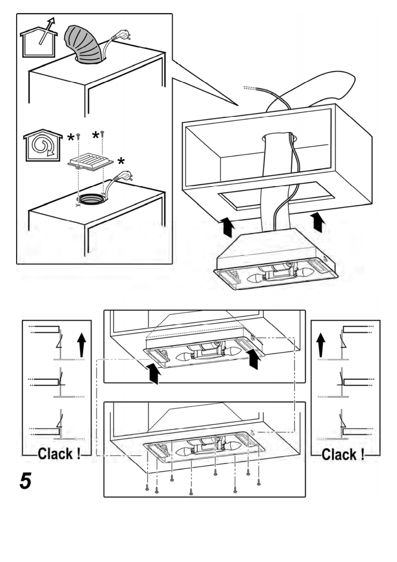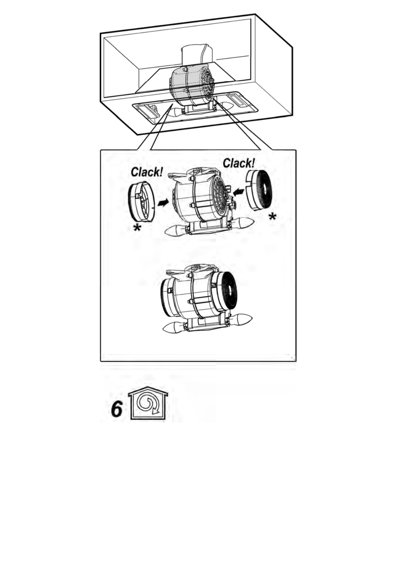

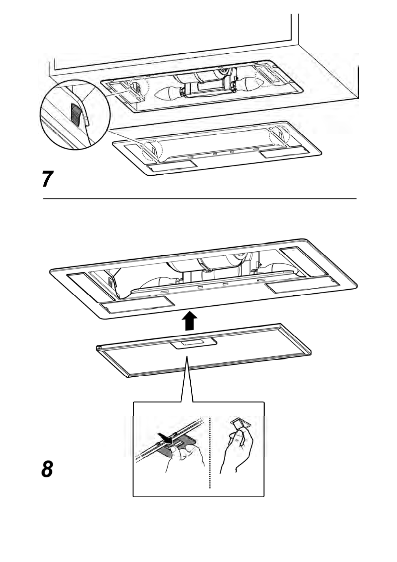

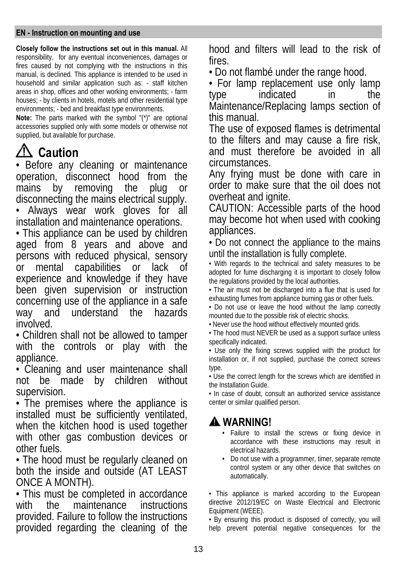#### **EN - Instruction on mounting and use**

**Closely follow the instructions set out in this manual.** All responsibility, for any eventual inconveniences, damages or fires caused by not complying with the instructions in this manual, is declined. This appliance is intended to be used in household and similar application such as: - staff kitchen areas in shop, offices and other working environments; - farm houses; - by clients in hotels, motels and other residential type environments; - bed and breakfast type environments.

**Note:** The parts marked with the symbol "(\*)" are optional accessories supplied only with some models or otherwise not supplied, but available for purchase.

## **Caution**

• Before any cleaning or maintenance operation, disconnect hood from the mains by removing the plug or disconnecting the mains electrical supply. • Always wear work gloves for all installation and maintenance operations.

• This appliance can be used by children aged from 8 years and above and persons with reduced physical, sensory or mental capabilities or lack of experience and knowledge if they have been given supervision or instruction concerning use of the appliance in a safe way and understand the hazards involved.

• Children shall not be allowed to tamper with the controls or play with the appliance.

• Cleaning and user maintenance shall not be made by children without supervision.

• The premises where the appliance is installed must be sufficiently ventilated, when the kitchen hood is used together with other gas combustion devices or other fuels.

• The hood must be regularly cleaned on both the inside and outside (AT LEAST ONCE A MONTH).

• This must be completed in accordance with the maintenance instructions provided. Failure to follow the instructions provided regarding the cleaning of the hood and filters will lead to the risk of fires.

• Do not flambé under the range hood.

• For lamp replacement use only lamp type indicated in the Maintenance/Replacing lamps section of this manual.

The use of exposed flames is detrimental to the filters and may cause a fire risk, and must therefore be avoided in all circumstances.

Any frying must be done with care in order to make sure that the oil does not overheat and ignite.

CAUTION: Accessible parts of the hood may become hot when used with cooking appliances.

• Do not connect the appliance to the mains until the installation is fully complete.

• With regards to the technical and safety measures to be adopted for fume discharging it is important to closely follow the regulations provided by the local authorities.

• The air must not be discharged into a flue that is used for exhausting fumes from appliance burning gas or other fuels.

• Do not use or leave the hood without the lamp correctly mounted due to the possible risk of electric shocks.

• Never use the hood without effectively mounted grids.

• The hood must NEVER be used as a support surface unless specifically indicated.

• Use only the fixing screws supplied with the product for installation or, if not supplied, purchase the correct screws type.

• Use the correct length for the screws which are identified in the Installation Guide.

• In case of doubt, consult an authorized service assistance center or similar qualified person.

### **WARNING!**

- Failure to install the screws or fixing device in accordance with these instructions may result in electrical hazards.
- Do not use with a programmer, timer, separate remote control system or any other device that switches on automatically.

• This appliance is marked according to the European directive 2012/19/EC on Waste Electrical and Electronic Equipment (WEEE).

• By ensuring this product is disposed of correctly, you will help prevent potential negative consequences for the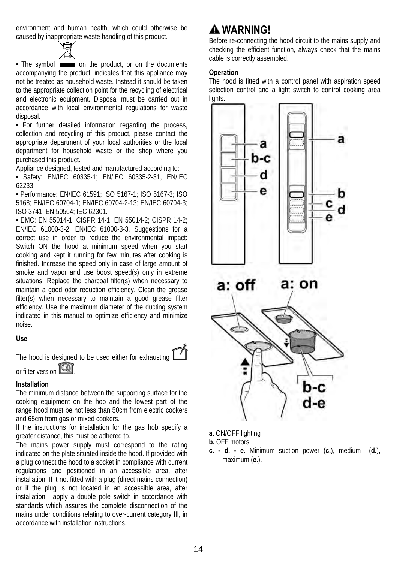environment and human health, which could otherwise be caused by inappropriate waste handling of this product.



• The symbol **seems** on the product, or on the documents accompanying the product, indicates that this appliance may not be treated as household waste. Instead it should be taken to the appropriate collection point for the recycling of electrical and electronic equipment. Disposal must be carried out in accordance with local environmental regulations for waste disposal.

• For further detailed information regarding the process, collection and recycling of this product, please contact the appropriate department of your local authorities or the local department for household waste or the shop where you purchased this product.

Appliance designed, tested and manufactured according to:

• Safety: EN/IEC 60335-1; EN/IEC 60335-2-31, EN/IEC 62233

• Performance: EN/IEC 61591; ISO 5167-1; ISO 5167-3; ISO 5168; EN/IEC 60704-1; EN/IEC 60704-2-13; EN/IEC 60704-3; ISO 3741; EN 50564; IEC 62301.

• EMC: EN 55014-1; CISPR 14-1; EN 55014-2; CISPR 14-2; EN/IEC 61000-3-2; EN/IEC 61000-3-3. Suggestions for a correct use in order to reduce the environmental impact: Switch ON the hood at minimum speed when you start cooking and kept it running for few minutes after cooking is finished. Increase the speed only in case of large amount of smoke and vapor and use boost speed(s) only in extreme situations. Replace the charcoal filter(s) when necessary to maintain a good odor reduction efficiency. Clean the grease filter(s) when necessary to maintain a good grease filter efficiency. Use the maximum diameter of the ducting system indicated in this manual to optimize efficiency and minimize noise.

#### **Use**

The hood is designed to be used either for exhausting



or filter version

#### **Installation**

The minimum distance between the supporting surface for the cooking equipment on the hob and the lowest part of the range hood must be not less than 50cm from electric cookers and 65cm from gas or mixed cookers.

If the instructions for installation for the gas hob specify a greater distance, this must be adhered to.

The mains power supply must correspond to the rating indicated on the plate situated inside the hood. If provided with a plug connect the hood to a socket in compliance with current regulations and positioned in an accessible area, after installation. If it not fitted with a plug (direct mains connection) or if the plug is not located in an accessible area, after installation, apply a double pole switch in accordance with standards which assures the complete disconnection of the mains under conditions relating to over-current category III, in accordance with installation instructions.

**A WARNING!**<br>Before re-connecting the hood circuit to the mains supply and checking the efficient function, always check that the mains cable is correctly assembled.

#### **Operation**

The hood is fitted with a control panel with aspiration speed selection control and a light switch to control cooking area lights.



 $a:$  off a: on



**a.** ON/OFF lighting

**b.** OFF motors

**c. - d. - e.** Minimum suction power (**c.**), medium (**d.**), maximum (**e.**).